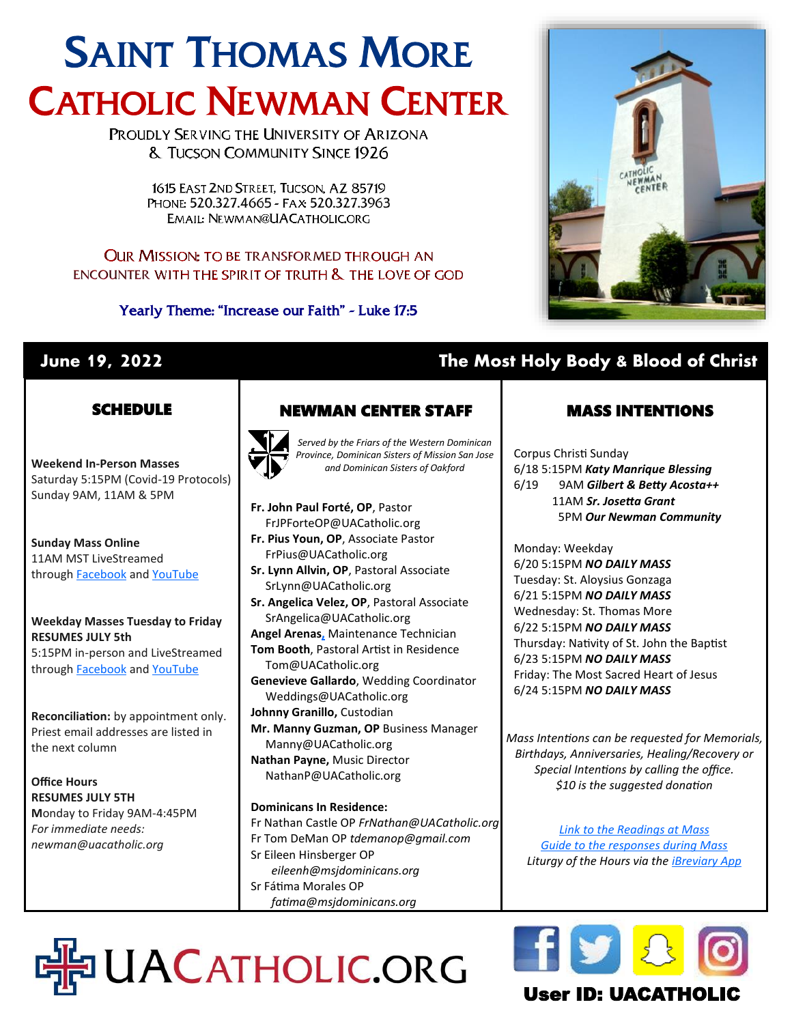# SAINT THOMAS MORE CATHOLIC NEWMAN CENTER

PROUDLY SERVING THE UNIVERSITY OF ARIZONA **& TUCSON COMMUNITY SINCE 1926** 

> 1615 EAST 2ND STREET. TUCSON, AZ 85719 PHONE: 520.327.4665 - FAX: 520.327.3963 EMAIL: NEWMAN@UACATHOLIC.ORG

#### **OUR MISSION: TO BE TRANSFORMED THROUGH AN** ENCOUNTER WITH THE SPIRIT OF TRUTH & THE LOVE OF GOD

Yearly Theme: "Increase our Faith" - Luke 17:5



# **June 19, 2022 The Most Holy Body & Blood of Christ**

## **SCHEDULE**

**Weekend In-Person Masses**  Saturday 5:15PM (Covid-19 Protocols) Sunday 9AM, 11AM & 5PM

**Sunday Mass Online** 11AM MST LiveStreamed through **[Facebook](http://www.facebook.com/uacatholic/live)** and YouTube

#### **Weekday Masses Tuesday to Friday RESUMES JULY 5th**

5:15PM in-person and LiveStreamed through **[Facebook](http://www.facebook.com/uacatholic/live)** and [YouTube](http://www.youtube.com/uacatholic)

**Reconciliation:** by appointment only. Priest email addresses are listed in the next column

**Office Hours RESUMES JULY 5TH M**onday to Friday 9AM-4:45PM *For immediate needs: newman@uacatholic.org*

# NEWMAN CENTER STAFF



*Served by the Friars of the Western Dominican Province, Dominican Sisters of Mission San Jose and Dominican Sisters of Oakford*

**Fr. John Paul Forté, OP**, Pastor FrJPForteOP@UACatholic.org

- **Fr. Pius Youn, OP**, Associate Pastor FrPius@UACatholic.org
- **Sr. Lynn Allvin, OP**, Pastoral Associate SrLynn@UACatholic.org
- **Sr. Angelica Velez, OP**, Pastoral Associate SrAngelica@UACatholic.org
- **Angel Arenas[,](https://diocesetucson.org/human-resources/employment-opportunities/?gnk=job&gni=8a78859e7ce7e880017d542227cb4d42)** Maintenance Technician **Tom Booth**, Pastoral Artist in Residence
- Tom@UACatholic.org

**Genevieve Gallardo**, Wedding Coordinator Weddings@UACatholic.org

- **Johnny Granillo,** Custodian
- **Mr. Manny Guzman, OP** Business Manager Manny@UACatholic.org **Nathan Payne,** Music Director
- NathanP@UACatholic.org

#### **Dominicans In Residence:**

DHPUACATHOLIC.ORG

Fr Nathan Castle OP *FrNathan@UACatholic.org* Fr Tom DeMan OP *tdemanop@gmail.com* Sr Eileen Hinsberger OP *eileenh@msjdominicans.org* Sr Fátima Morales OP  *fatima@msjdominicans.org*

## MASS INTENTIONS

Corpus Christi Sunday

6/18 5:15PM *Katy Manrique Blessing* 6/19 9AM *Gilbert & Betty Acosta++* 11AM *Sr. Josetta Grant* 5PM *Our Newman Community*

Monday: Weekday 6/20 5:15PM *NO DAILY MASS* Tuesday: St. Aloysius Gonzaga 6/21 5:15PM *NO DAILY MASS* Wednesday: St. Thomas More 6/22 5:15PM *NO DAILY MASS* Thursday: Nativity of St. John the Baptist 6/23 5:15PM *NO DAILY MASS* Friday: The Most Sacred Heart of Jesus 6/24 5:15PM *NO DAILY MASS*

*Mass Intentions can be requested for Memorials, Birthdays, Anniversaries, Healing/Recovery or Special Intentions by calling the office. \$10 is the suggested donation*

*[Link to the Readings at Mass](http://usccb.org/readings) [Guide to the responses during Mass](https://universalis.com/static/mass/orderofmass.htm) Liturgy of the Hours via the [iBreviary App](https://www.ibreviary.org/en/)*



# User ID: UACATHO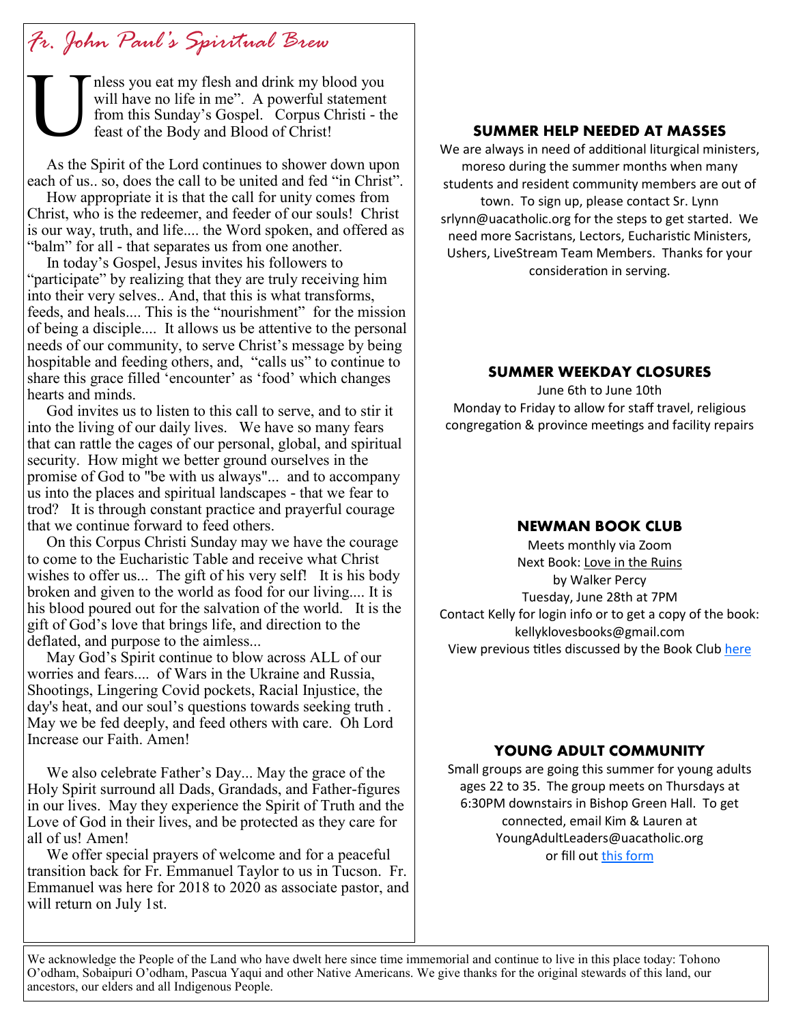# *Fr. John Paul's Spiritual Brew*

U nless you eat my flesh and drink my blood you will have no life in me". A powerful statement from this Sunday's Gospel. Corpus Christi - the feast of the Body and Blood of Christ!

 As the Spirit of the Lord continues to shower down upon each of us.. so, does the call to be united and fed "in Christ".

 How appropriate it is that the call for unity comes from Christ, who is the redeemer, and feeder of our souls! Christ is our way, truth, and life.... the Word spoken, and offered as "balm" for all - that separates us from one another.

 In today's Gospel, Jesus invites his followers to "participate" by realizing that they are truly receiving him into their very selves.. And, that this is what transforms, feeds, and heals.... This is the "nourishment" for the mission of being a disciple.... It allows us be attentive to the personal needs of our community, to serve Christ's message by being hospitable and feeding others, and, "calls us" to continue to share this grace filled 'encounter' as 'food' which changes hearts and minds.

 God invites us to listen to this call to serve, and to stir it into the living of our daily lives. We have so many fears that can rattle the cages of our personal, global, and spiritual security. How might we better ground ourselves in the promise of God to "be with us always"... and to accompany us into the places and spiritual landscapes - that we fear to trod? It is through constant practice and prayerful courage that we continue forward to feed others.

 On this Corpus Christi Sunday may we have the courage to come to the Eucharistic Table and receive what Christ wishes to offer us... The gift of his very self! It is his body broken and given to the world as food for our living.... It is his blood poured out for the salvation of the world. It is the gift of God's love that brings life, and direction to the deflated, and purpose to the aimless...

 May God's Spirit continue to blow across ALL of our worries and fears.... of Wars in the Ukraine and Russia, Shootings, Lingering Covid pockets, Racial Injustice, the day's heat, and our soul's questions towards seeking truth . May we be fed deeply, and feed others with care. Oh Lord Increase our Faith. Amen!

 We also celebrate Father's Day... May the grace of the Holy Spirit surround all Dads, Grandads, and Father-figures in our lives. May they experience the Spirit of Truth and the Love of God in their lives, and be protected as they care for all of us! Amen!

 We offer special prayers of welcome and for a peaceful transition back for Fr. Emmanuel Taylor to us in Tucson. Fr. Emmanuel was here for 2018 to 2020 as associate pastor, and will return on July 1st.

#### **SUMMER HELP NEEDED AT MASSES**

We are always in need of additional liturgical ministers, moreso during the summer months when many students and resident community members are out of town. To sign up, please contact Sr. Lynn srlynn@uacatholic.org for the steps to get started. We need more Sacristans, Lectors, Eucharistic Ministers, Ushers, LiveStream Team Members. Thanks for your consideration in serving.

#### **SUMMER WEEKDAY CLOSURES**

June 6th to June 10th Monday to Friday to allow for staff travel, religious congregation & province meetings and facility repairs

#### **NEWMAN BOOK CLUB**

Meets monthly via Zoom Next Book: Love in the Ruins by Walker Percy Tuesday, June 28th at 7PM Contact Kelly for login info or to get a copy of the book: kellyklovesbooks@gmail.com View previous titles discussed by the Book Club [here](https://www.goodreads.com/group/bookshelf/1128855-newman-book-club?order=d&per_page=30&shelf=read&sort=date_added&view=main)

#### **YOUNG ADULT COMMUNITY**

Small groups are going this summer for young adults ages 22 to 35. The group meets on Thursdays at 6:30PM downstairs in Bishop Green Hall. To get connected, email Kim & Lauren at YoungAdultLeaders@uacatholic.org or fill out [this form](https://docs.google.com/forms/d/e/1FAIpQLSevA_xqqbs5QDDzXLRCyV7jBXYreBKAYDq8RMziPX8UqC2ImA/viewform)

We acknowledge the People of the Land who have dwelt here since time immemorial and continue to live in this place today: Tohono O'odham, Sobaipuri O'odham, Pascua Yaqui and other Native Americans. We give thanks for the original stewards of this land, our ancestors, our elders and all Indigenous People.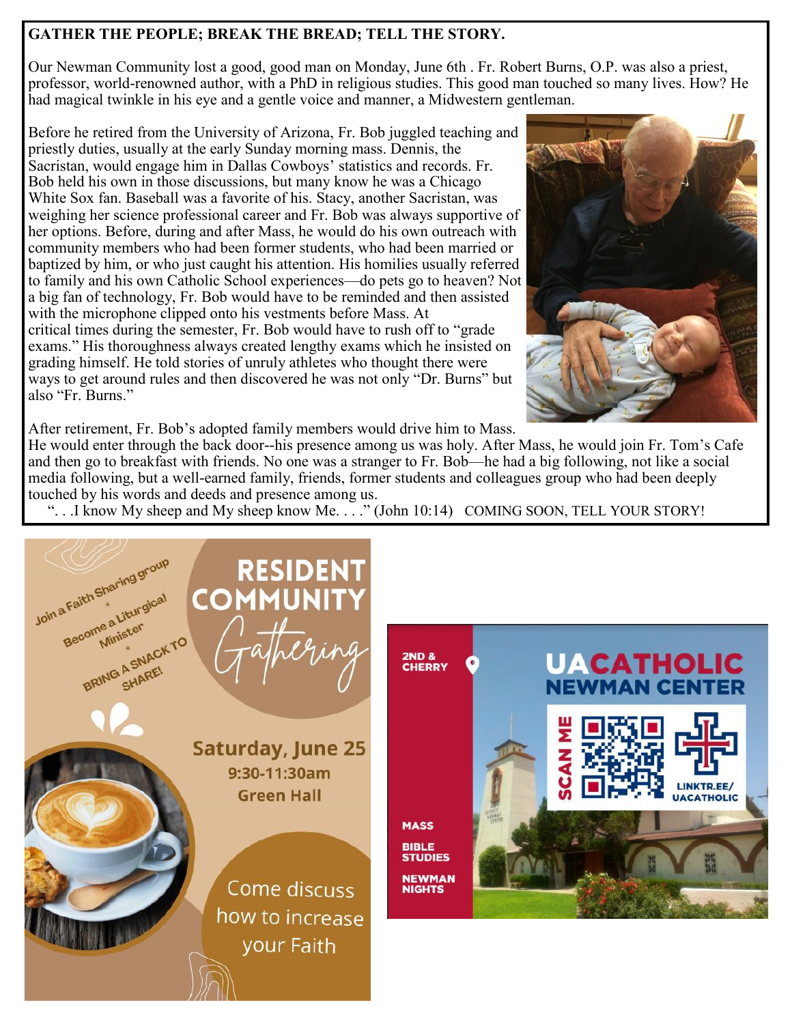#### **GATHER THE PEOPLE; BREAK THE BREAD; TELL THE STORY.**

Our Newman Community lost a good, good man on Monday, June 6th . Fr. Robert Burns, O.P. was also a priest, professor, world-renowned author, with a PhD in religious studies. This good man touched so many lives. How? He had magical twinkle in his eye and a gentle voice and manner, a Midwestern gentleman.

Before he retired from the University of Arizona, Fr. Bob juggled teaching and priestly duties, usually at the early Sunday morning mass. Dennis, the Sacristan, would engage him in Dallas Cowboys' statistics and records. Fr. Bob held his own in those discussions, but many know he was a Chicago White Sox fan. Baseball was a favorite of his. Stacy, another Sacristan, was weighing her science professional career and Fr. Bob was always supportive of her options. Before, during and after Mass, he would do his own outreach with community members who had been former students, who had been married or baptized by him, or who just caught his attention. His homilies usually referred to family and his own Catholic School experiences—do pets go to heaven? Not a big fan of technology, Fr. Bob would have to be reminded and then assisted with the microphone clipped onto his vestments before Mass. At critical times during the semester, Fr. Bob would have to rush off to "grade exams." His thoroughness always created lengthy exams which he insisted on grading himself. He told stories of unruly athletes who thought there were ways to get around rules and then discovered he was not only "Dr. Burns" but also "Fr. Burns."



After retirement, Fr. Bob's adopted family members would drive him to Mass.

He would enter through the back door--his presence among us was holy. After Mass, he would join Fr. Tom's Cafe and then go to breakfast with friends. No one was a stranger to Fr. Bob—he had a big following, not like a social media following, but a well-earned family, friends, former students and colleagues group who had been deeply touched by his words and deeds and presence among us.

". . .I know My sheep and My sheep know Me. . . ." (John 10:14) COMING SOON, TELL YOUR STORY!